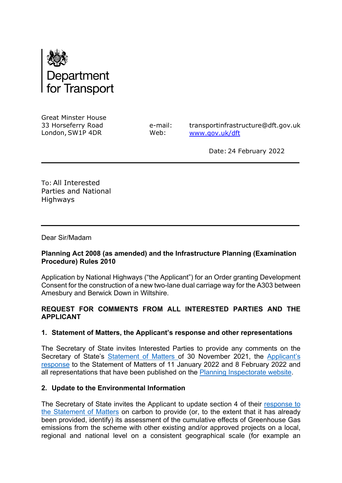

Great Minster House   33 Horseferry Road     London, SW1P 4DR   

 $\overline{a}$ 

e-mail:   Web:    

transportinfrastructure@dft.gov.uk [www.gov.uk/dft](http://www.gov.uk/dft)  

  Date: 24 February 2022  

To: All Interested Parties and National Highways

Dear Sir/Madam  

# **Planning Act 2008 (as amended) and the Infrastructure Planning (Examination Procedure) Rules 2010**

Application by National Highways ("the Applicant") for an Order granting Development Consent for the construction of a new two-lane dual carriage way for the A303 between Amesbury and Berwick Down in Wiltshire.

# **REQUEST FOR COMMENTS FROM ALL INTERESTED PARTIES AND THE APPLICANT**

## **1. Statement of Matters, the Applicant's response and other representations**

The Secretary of State invites Interested Parties to provide any comments on the Secretary of State's [Statement of Matters](https://infrastructure.planninginspectorate.gov.uk/wp-content/ipc/uploads/projects/TR010025/TR010025-002191-TR010025_A303%20Amesbury%20to%20Berwick%20Down_DfT%20Statement%20of%20Matters.pdf) of 30 November 2021, the [Applicant's](https://infrastructure.planninginspectorate.gov.uk/projects/south-west/a303-stonehenge/?ipcsection=docs)  [response](https://infrastructure.planninginspectorate.gov.uk/projects/south-west/a303-stonehenge/?ipcsection=docs) to the Statement of Matters of 11 January 2022 and 8 February 2022 and all representations that have been published on the [Planning Inspectorate website.](https://infrastructure.planninginspectorate.gov.uk/projects/south-west/a303-stonehenge/?ipcsection=docs)

## **2. Update to the Environmental Information**

The Secretary of State invites the Applicant to update section 4 of their response to [the Statement of Matters](https://infrastructure.planninginspectorate.gov.uk/wp-content/ipc/uploads/projects/TR010025/TR010025-002230-A303.SoM%20Response.BP3%20Carbon.Redetermination-1.3.Final%2020220111.pdf) on carbon to provide (or, to the extent that it has already been provided, identify) its assessment of the cumulative effects of Greenhouse Gas emissions from the scheme with other existing and/or approved projects on a local, regional and national level on a consistent geographical scale (for example an